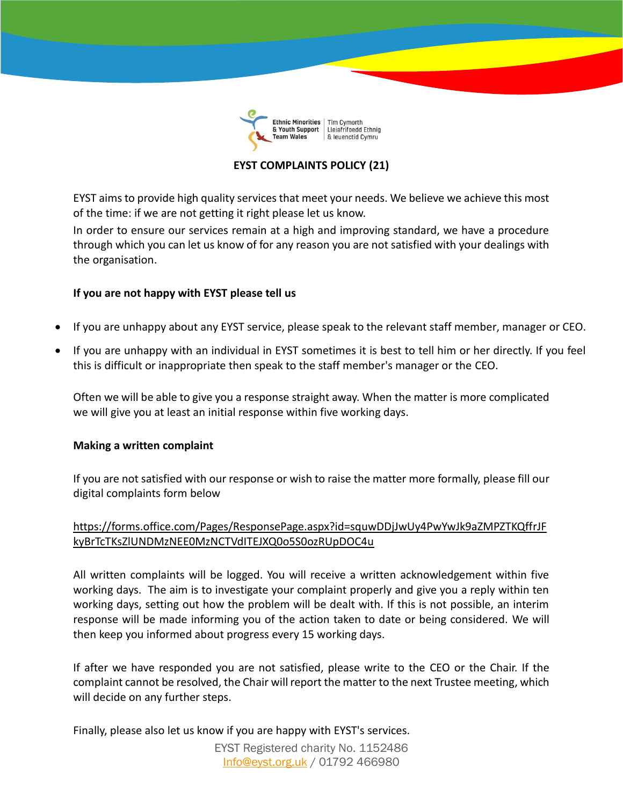

## **EYST COMPLAINTS POLICY (21)**

EYST aims to provide high quality services that meet your needs. We believe we achieve this most of the time: if we are not getting it right please let us know.

In order to ensure our services remain at a high and improving standard, we have a procedure through which you can let us know of for any reason you are not satisfied with your dealings with the organisation.

## **If you are not happy with EYST please tell us**

- If you are unhappy about any EYST service, please speak to the relevant staff member, manager or CEO.
- If you are unhappy with an individual in EYST sometimes it is best to tell him or her directly. If you feel this is difficult or inappropriate then speak to the staff member's manager or the CEO.

Often we will be able to give you a response straight away. When the matter is more complicated we will give you at least an initial response within five working days.

## **Making a written complaint**

If you are not satisfied with our response or wish to raise the matter more formally, please fill our digital complaints form below

## [https://forms.office.com/Pages/ResponsePage.aspx?id=squwDDjJwUy4PwYwJk9aZMPZTKQffrJF](https://forms.office.com/Pages/ResponsePage.aspx?id=squwDDjJwUy4PwYwJk9aZMPZTKQffrJFkyBrTcTKsZlUNDMzNEE0MzNCTVdITEJXQ0o5S0ozRUpDOC4u) [kyBrTcTKsZlUNDMzNEE0MzNCTVdITEJXQ0o5S0ozRUpDOC4u](https://forms.office.com/Pages/ResponsePage.aspx?id=squwDDjJwUy4PwYwJk9aZMPZTKQffrJFkyBrTcTKsZlUNDMzNEE0MzNCTVdITEJXQ0o5S0ozRUpDOC4u)

All written complaints will be logged. You will receive a written acknowledgement within five working days. The aim is to investigate your complaint properly and give you a reply within ten working days, setting out how the problem will be dealt with. If this is not possible, an interim response will be made informing you of the action taken to date or being considered. We will then keep you informed about progress every 15 working days.

If after we have responded you are not satisfied, please write to the CEO or the Chair. If the complaint cannot be resolved, the Chair will report the matter to the next Trustee meeting, which will decide on any further steps.

Finally, please also let us know if you are happy with EYST's services.

EYST Registered charity No. 1152486 [Info@eyst.org.uk](mailto:Info@eyst.org.uk) / 01792 466980